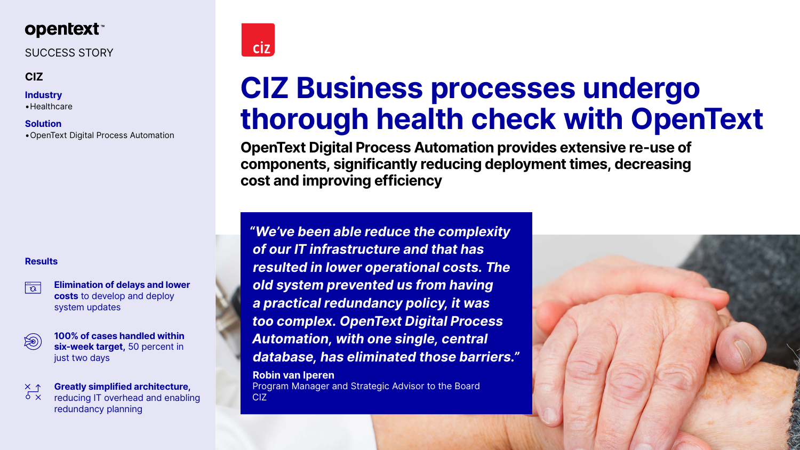# **opentext™**

# SUCCESS STORY

## **CIZ**

### **Industry**

•Healthcare

### **Solution**

•OpenText Digital Process Automation

# **CIZ Business processes undergo thorough health check with OpenText**

**OpenText Digital Process Automation provides extensive re-use of components, significantly reducing deployment times, decreasing cost and improving efficiency**

**100% of cases handled within six-week target,** 50 percent in just two days

*"We've been able reduce the complexity of our IT infrastructure and that has resulted in lower operational costs. The old system prevented us from having a practical redundancy policy, it was too complex. OpenText Digital Process Automation, with one single, central database, has eliminated those barriers."*

 $\sigma$   $\times$ reducing IT overhead and enabling redundancy planning



**Robin van Iperen** Program Manager and Strategic Advisor to the Board CIZ





### **Results**

 $\overline{\overline{\mathcal{O}}}$ 

**Elimination of delays and lower costs** to develop and deploy system updates



 $\times$  1

### **Greatly simplified architecture,**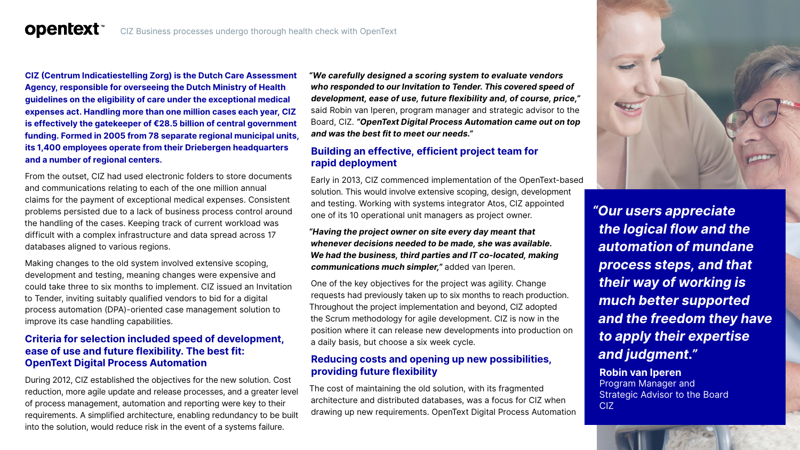#### **opentext™** CIZ Business processes undergo thorough health check with OpenText

**CIZ (Centrum Indicatiestelling Zorg) is the Dutch Care Assessment Agency, responsible for overseeing the Dutch Ministry of Health guidelines on the eligibility of care under the exceptional medical expenses act. Handling more than one million cases each year, CIZ is effectively the gatekeeper of €28.5 billion of central government funding. Formed in 2005 from 78 separate regional municipal units, its 1,400 employees operate from their Driebergen headquarters and a number of regional centers.**

From the outset, CIZ had used electronic folders to store documents and communications relating to each of the one million annual claims for the payment of exceptional medical expenses. Consistent problems persisted due to a lack of business process control around the handling of the cases. Keeping track of current workload was difficult with a complex infrastructure and data spread across 17 databases aligned to various regions.

Making changes to the old system involved extensive scoping, development and testing, meaning changes were expensive and could take three to six months to implement. CIZ issued an Invitation to Tender, inviting suitably qualified vendors to bid for a digital process automation (DPA)-oriented case management solution to improve its case handling capabilities.

#### **Criteria for selection included speed of development, ease of use and future flexibility. The best fit: OpenText Digital Process Automation**

During 2012, CIZ established the objectives for the new solution. Cost reduction, more agile update and release processes, and a greater level of process management, automation and reporting were key to their requirements. A simplified architecture, enabling redundancy to be built into the solution, would reduce risk in the event of a systems failure.

*"We carefully designed a scoring system to evaluate vendors who responded to our Invitation to Tender. This covered speed of development, ease of use, future flexibility and, of course, price,"* said Robin van Iperen, program manager and strategic advisor to the Board, CIZ. *"OpenText Digital Process Automation came out on top and was the best fit to meet our needs."*

#### **Building an effective, efficient project team for rapid deployment**

Early in 2013, CIZ commenced implementation of the OpenText-based solution. This would involve extensive scoping, design, development and testing. Working with systems integrator Atos, CIZ appointed one of its 10 operational unit managers as project owner.

*"Having the project owner on site every day meant that whenever decisions needed to be made, she was available. We had the business, third parties and IT co-located, making communications much simpler,"* added van Iperen.

One of the key objectives for the project was agility. Change requests had previously taken up to six months to reach production. Throughout the project implementation and beyond, CIZ adopted the Scrum methodology for agile development. CIZ is now in the position where it can release new developments into production on a daily basis, but choose a six week cycle.

#### **Reducing costs and opening up new possibilities, providing future flexibility**

The cost of maintaining the old solution, with its fragmented architecture and distributed databases, was a focus for CIZ when drawing up new requirements. OpenText Digital Process Automation *"Our users appreciate* 



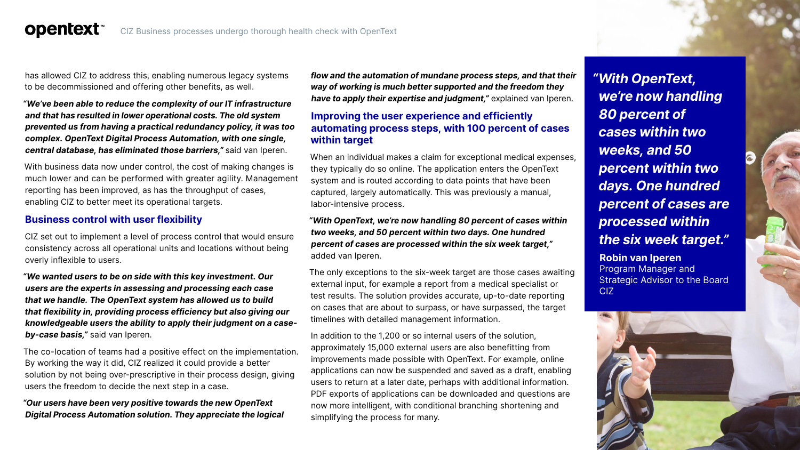has allowed CIZ to address this, enabling numerous legacy systems to be decommissioned and offering other benefits, as well.

*"We've been able to reduce the complexity of our IT infrastructure and that has resulted in lower operational costs. The old system prevented us from having a practical redundancy policy, it was too complex. OpenText Digital Process Automation, with one single, central database, has eliminated those barriers,"* said van Iperen.

With business data now under control, the cost of making changes is much lower and can be performed with greater agility. Management reporting has been improved, as has the throughput of cases, enabling CIZ to better meet its operational targets.

### **Business control with user flexibility**

CIZ set out to implement a level of process control that would ensure consistency across all operational units and locations without being overly inflexible to users.

*"We wanted users to be on side with this key investment. Our users are the experts in assessing and processing each case that we handle. The OpenText system has allowed us to build that flexibility in, providing process efficiency but also giving our knowledgeable users the ability to apply their judgment on a caseby-case basis,"* said van Iperen.

The co-location of teams had a positive effect on the implementation. By working the way it did, CIZ realized it could provide a better solution by not being over-prescriptive in their process design, giving users the freedom to decide the next step in a case.

*"Our users have been very positive towards the new OpenText Digital Process Automation solution. They appreciate the logical*  *flow and the automation of mundane process steps, and that their way of working is much better supported and the freedom they have to apply their expertise and judgment,"* explained van Iperen.

#### **Improving the user experience and efficiently automating process steps, with 100 percent of cases within target**

When an individual makes a claim for exceptional medical expenses, they typically do so online. The application enters the OpenText system and is routed according to data points that have been captured, largely automatically. This was previously a manual, labor-intensive process.

*"With OpenText, we're now handling 80 percent of cases within two weeks, and 50 percent within two days. One hundred percent of cases are processed within the six week target,"* added van Iperen.

The only exceptions to the six-week target are those cases awaiting external input, for example a report from a medical specialist or test results. The solution provides accurate, up-to-date reporting on cases that are about to surpass, or have surpassed, the target timelines with detailed management information.

In addition to the 1,200 or so internal users of the solution, approximately 15,000 external users are also benefitting from improvements made possible with OpenText. For example, online applications can now be suspended and saved as a draft, enabling users to return at a later date, perhaps with additional information. PDF exports of applications can be downloaded and questions are now more intelligent, with conditional branching shortening and simplifying the process for many.

*"With OpenText, we're now handling 80 percent of cases within two weeks, and 50 percent within two days. One hundred percent of cases are processed within the six week target."* 

**Robin van Iperen**  Program Manager and **Strategic Advisor to the Board** CIZ